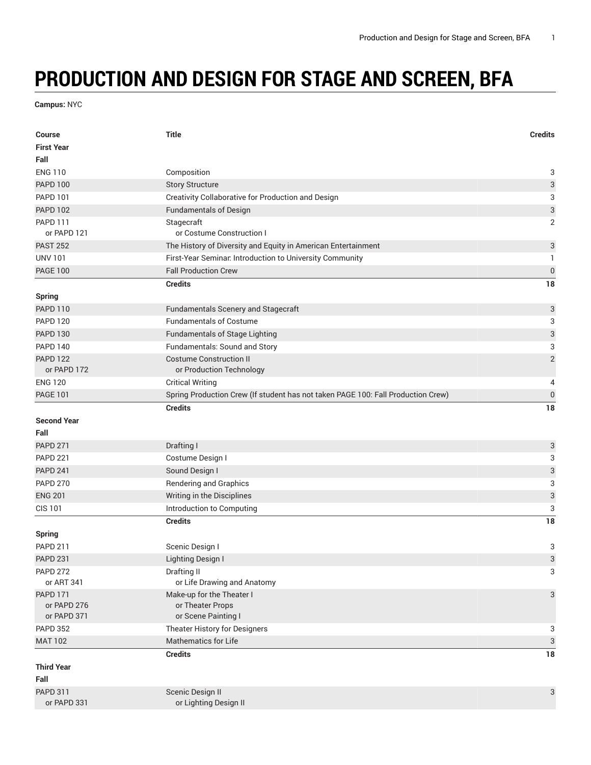## **PRODUCTION AND DESIGN FOR STAGE AND SCREEN, BFA**

**Campus:** NYC

| <b>Course</b><br><b>First Year</b> | <b>Title</b>                                                                     | <b>Credits</b>            |
|------------------------------------|----------------------------------------------------------------------------------|---------------------------|
| Fall                               |                                                                                  |                           |
| <b>ENG 110</b>                     | Composition                                                                      | 3                         |
| <b>PAPD 100</b>                    | <b>Story Structure</b>                                                           | $\ensuremath{\mathsf{3}}$ |
| <b>PAPD 101</b>                    | Creativity Collaborative for Production and Design                               | 3                         |
| <b>PAPD 102</b>                    | <b>Fundamentals of Design</b>                                                    | $\sqrt{3}$                |
| <b>PAPD 111</b><br>or PAPD 121     | Stagecraft<br>or Costume Construction I                                          | $\overline{2}$            |
| <b>PAST 252</b>                    | The History of Diversity and Equity in American Entertainment                    | 3                         |
| <b>UNV 101</b>                     | First-Year Seminar. Introduction to University Community                         | 1                         |
| <b>PAGE 100</b>                    | <b>Fall Production Crew</b>                                                      | $\boldsymbol{0}$          |
| <b>Spring</b>                      | <b>Credits</b>                                                                   | 18                        |
| <b>PAPD 110</b>                    | Fundamentals Scenery and Stagecraft                                              | $\ensuremath{\mathsf{3}}$ |
| <b>PAPD 120</b>                    | <b>Fundamentals of Costume</b>                                                   | 3                         |
| <b>PAPD 130</b>                    | <b>Fundamentals of Stage Lighting</b>                                            | $\ensuremath{\mathsf{3}}$ |
| <b>PAPD 140</b>                    | Fundamentals: Sound and Story                                                    | 3                         |
| <b>PAPD 122</b>                    | <b>Costume Construction II</b>                                                   | $\sqrt{2}$                |
| or PAPD 172                        | or Production Technology                                                         |                           |
| <b>ENG 120</b>                     | <b>Critical Writing</b>                                                          | 4                         |
| <b>PAGE 101</b>                    | Spring Production Crew (If student has not taken PAGE 100: Fall Production Crew) | $\pmb{0}$                 |
|                                    | <b>Credits</b>                                                                   | 18                        |
| <b>Second Year</b>                 |                                                                                  |                           |
| Fall                               |                                                                                  |                           |
| <b>PAPD 271</b>                    | Drafting I                                                                       | $\ensuremath{\mathsf{3}}$ |
| <b>PAPD 221</b>                    | Costume Design I                                                                 | 3                         |
| <b>PAPD 241</b>                    | Sound Design I                                                                   | $\ensuremath{\mathsf{3}}$ |
| <b>PAPD 270</b>                    | <b>Rendering and Graphics</b>                                                    | 3                         |
| <b>ENG 201</b>                     | Writing in the Disciplines                                                       | $\ensuremath{\mathsf{3}}$ |
| <b>CIS 101</b>                     | Introduction to Computing                                                        | 3                         |
|                                    | <b>Credits</b>                                                                   | 18                        |
| <b>Spring</b>                      |                                                                                  |                           |
| <b>PAPD 211</b>                    | Scenic Design I                                                                  | 3                         |
| <b>PAPD 231</b>                    | Lighting Design I                                                                | $\sqrt{3}$                |
| <b>PAPD 272</b>                    | Drafting II                                                                      | 3                         |
| or ART 341                         | or Life Drawing and Anatomy                                                      |                           |
| <b>PAPD 171</b>                    | Make-up for the Theater I                                                        | 3                         |
| or PAPD 276<br>or PAPD 371         | or Theater Props<br>or Scene Painting I                                          |                           |
| <b>PAPD 352</b>                    | Theater History for Designers                                                    | 3                         |
| <b>MAT 102</b>                     | <b>Mathematics for Life</b>                                                      | $\ensuremath{\mathsf{3}}$ |
|                                    | <b>Credits</b>                                                                   | 18                        |
| <b>Third Year</b>                  |                                                                                  |                           |
| Fall                               |                                                                                  |                           |
| <b>PAPD 311</b>                    | Scenic Design II                                                                 | 3                         |
| or PAPD 331                        | or Lighting Design II                                                            |                           |